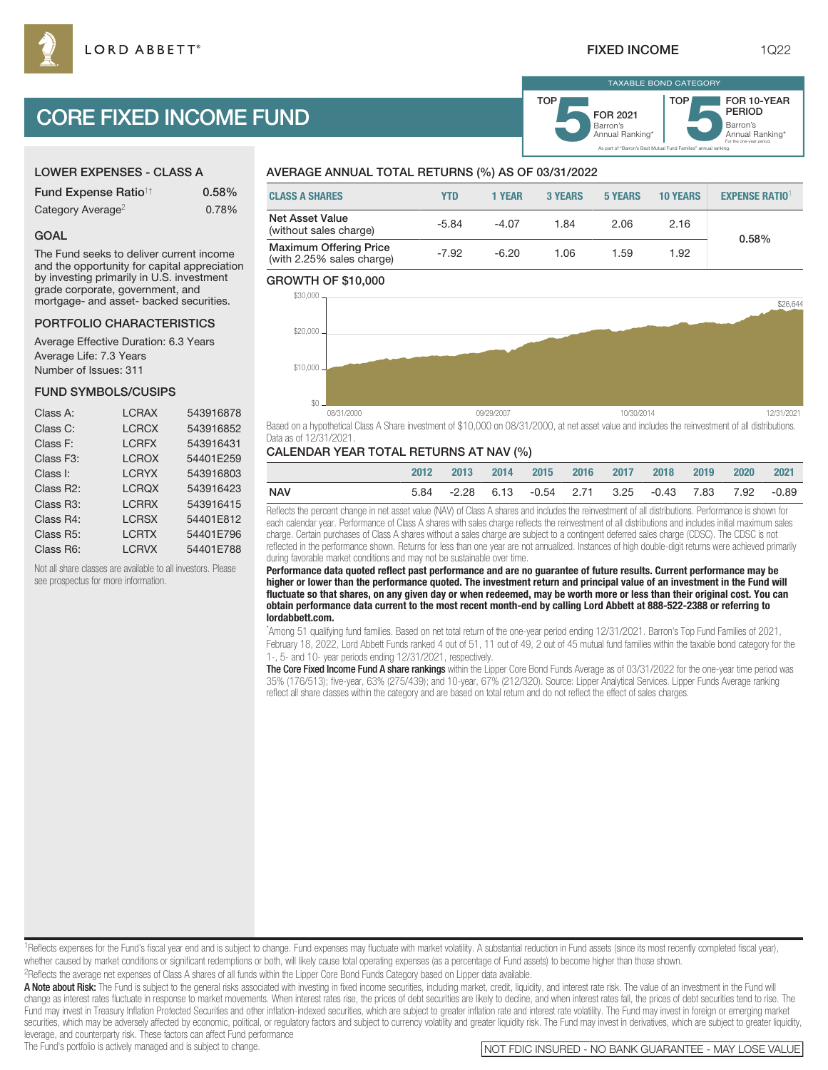As part of "Barron's Best Mutual Fund Families" annual ranking.

Barron's **5**Annual Ranking\* FOR 2021

TAXABLE BOND CATEGORY

**TOP** 

Barron's<br>Annual Ranking\*

For the one-year period.

FOR 10-YEAR PERIOD

# CORE FIXED INCOME FUND

### LOWER EXPENSES - CLASS A

| <b>Fund Expense Ratio<sup>1†</sup></b> | 0.58% |
|----------------------------------------|-------|
| Category Average <sup>2</sup>          | 0.78% |

#### GOAL

The Fund seeks to deliver current income and the opportunity for capital appreciation by investing primarily in U.S. investment grade corporate, government, and mortgage- and asset- backed securities.

#### PORTFOLIO CHARACTERISTICS

Average Effective Duration: 6.3 Years Average Life: 7.3 Years Number of Issues: 311

#### FUND SYMBOLS/CUSIPS

| Class A:               | <b>LCRAX</b> | 543916878 |
|------------------------|--------------|-----------|
| Class C:               | <b>LCRCX</b> | 543916852 |
| Class F:               | <b>LCRFX</b> | 543916431 |
| Class F <sub>3</sub> : | <b>LCROX</b> | 54401E259 |
| Class I:               | <b>LCRYX</b> | 543916803 |
| Class R2:              | <b>LCRQX</b> | 543916423 |
| Class R3:              | <b>LCRRX</b> | 543916415 |
| Class R4:              | <b>LCRSX</b> | 54401E812 |
| Class R5:              | <b>LCRTX</b> | 54401E796 |
| Class R6:              | <b>LCRVX</b> | 54401E788 |

Not all share classes are available to all investors. Please see prospectus for more information.

# AVERAGE ANNUAL TOTAL RETURNS (%) AS OF 03/31/2022

| <b>CLASS A SHARES</b>                                      | YTD     | 1 YEAR  | <b>3 YEARS</b> | <b>5 YEARS</b> | <b>10 YEARS</b> | <b>EXPENSE RATIO1</b> |
|------------------------------------------------------------|---------|---------|----------------|----------------|-----------------|-----------------------|
| <b>Net Asset Value</b><br>(without sales charge)           | $-5.84$ | $-4.07$ | 1.84           | 2.06           | 2.16            | 0.58%                 |
| <b>Maximum Offering Price</b><br>(with 2.25% sales charge) | $-7.92$ | $-6.20$ | 1.06           | 1.59           | 1.92            |                       |

TOP

#### GROWTH OF \$10,000



Based on a hypothetical Class A Share investment of \$10,000 on 08/31/2000, at net asset value and includes the reinvestment of all distributions. Data as of 12/31/2021.

#### CALENDAR YEAR TOTAL RETURNS AT NAV (%)

|     | 2012 | $-2013$ | 2014 2015 2016 2017 2018                                    |  | 2019 2020 2021 |  |
|-----|------|---------|-------------------------------------------------------------|--|----------------|--|
| NAV | 5.84 |         | -2.28  6.13   -0.54  2.71  3.25   -0.43  7.83  7.92   -0.89 |  |                |  |

Reflects the percent change in net asset value (NAV) of Class A shares and includes the reinvestment of all distributions. Performance is shown for each calendar year. Performance of Class A shares with sales charge reflects the reinvestment of all distributions and includes initial maximum sales charge. Certain purchases of Class A shares without a sales charge are subject to a contingent deferred sales charge (CDSC). The CDSC is not reflected in the performance shown. Returns for less than one year are not annualized. Instances of high double-digit returns were achieved primarily during favorable market conditions and may not be sustainable over time.

**Performance data quoted reflect past performance and are no guarantee of future results. Current performance may be higher or lower than the performance quoted. The investment return and principal value of an investment in the Fund will fluctuate so that shares, on any given day or when redeemed, may be worth more or less than their original cost. You can obtain performance data current to the most recent month-end by calling Lord Abbett at 888-522-2388 or referring to lordabbett.com.**

\* Among 51 qualifying fund families. Based on net total return of the one-year period ending 12/31/2021. Barron's Top Fund Families of 2021, February 18, 2022, Lord Abbett Funds ranked 4 out of 51, 11 out of 49, 2 out of 45 mutual fund families within the taxable bond category for the 1-, 5- and 10- year periods ending 12/31/2021, respectively.

The Core Fixed Income Fund A share rankings within the Lipper Core Bond Funds Average as of 03/31/2022 for the one-year time period was 35% (176/513); five-year, 63% (275/439); and 10-year, 67% (212/320). Source: Lipper Analytical Services. Lipper Funds Average ranking reflect all share classes within the category and are based on total return and do not reflect the effect of sales charges.

<sup>1</sup>Reflects expenses for the Fund's fiscal year end and is subject to change. Fund expenses may fluctuate with market volatility. A substantial reduction in Fund assets (since its most recently completed fiscal year), whether caused by market conditions or significant redemptions or both, will likely cause total operating expenses (as a percentage of Fund assets) to become higher than those shown.

2Reflects the average net expenses of Class A shares of all funds within the Lipper Core Bond Funds Category based on Lipper data available.

A Note about Risk: The Fund is subject to the general risks associated with investing in fixed income securities, including market, credit, liquidity, and interest rate risk. The value of an investment in the Fund will change as interest rates fluctuate in response to market movements. When interest rates rise, the prices of debt securities are likely to decline, and when interest rates fall, the prices of debt securities tend to rise. The Fund may invest in Treasury Inflation Protected Securities and other inflation-indexed securities, which are subject to greater inflation rate and interest rate volatility. The Fund may invest in foreign or emerging market securities, which may be adversely affected by economic, political, or regulatory factors and subject to currency volatility and greater liquidity risk. The Fund may invest in derivatives, which are subject to greater liqu leverage, and counterparty risk. These factors can affect Fund performance